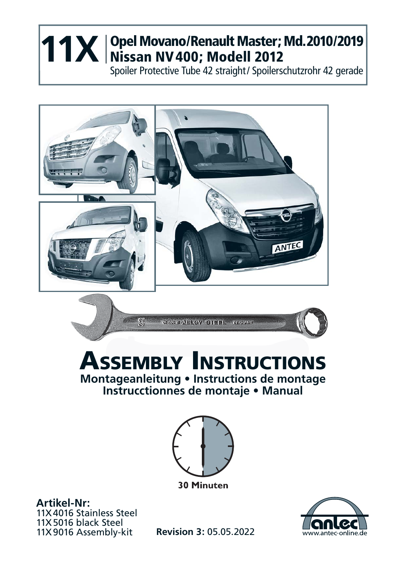## **Opel Movano/Renault Master ; Md. 2010/2019 11X** Opel Movano/Renault Master;<br>Nissan NV 400; Modell 2012

Spoiler Protective Tube 42 straight / Spoilerschutzrohr 42 gerade



## **ASSEMBLY INSTRUCTIONS Montageanleitung • Instructions de montage Instrucctionnes de montaje • Manual**



**30 Minuten** 

**Artikel-Nr:** 11X 4016 Stainless Steel 11X 5016 black Steel 11X 9016 Assembly-kit **Revision 3:** 05.05.2022

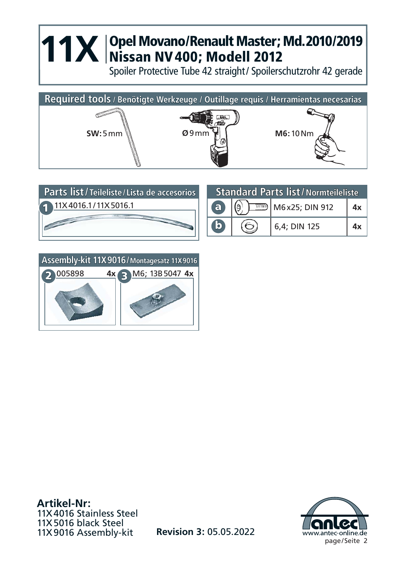## **11X** Opel Movano/Renault Master; Md. 2010/2019<br>
Nissan NV 400; Modell 2012<br>
Spalar Protective Tyle 43 straight (Spalarschutzschr. 43 spack) **Nissan NV 400; Modell 2012**

Spoiler Protective Tube 42 straight / Spoilerschutzrohr 42 gerade







**Artikel-Nr:** 11X 4016 Stainless Steel 11X 5016 black Steel 11X 9016 Assembly-kit



**Revision 3:** 05.05.2022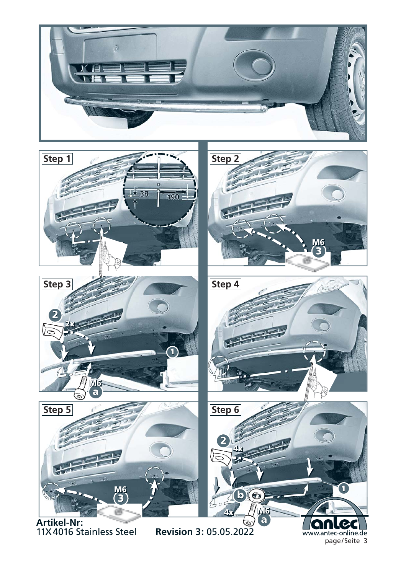



11X 4016 Stainless Steel

www.antec-online.de page / Seite 3